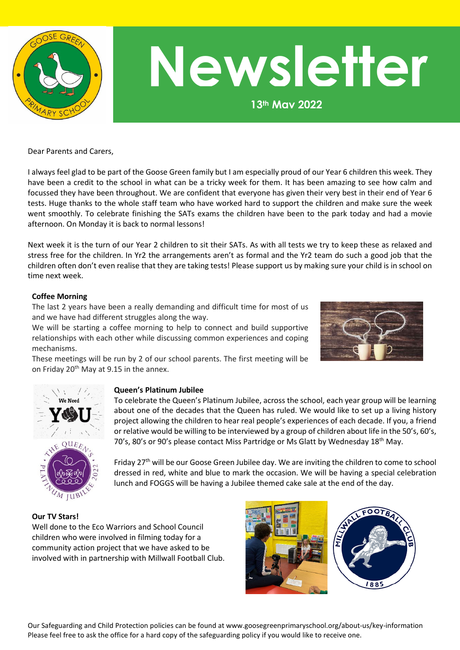

# **Newsletter**

**13th May 2022**

Dear Parents and Carers,

I always feel glad to be part of the Goose Green family but I am especially proud of our Year 6 children this week. They have been a credit to the school in what can be a tricky week for them. It has been amazing to see how calm and focussed they have been throughout. We are confident that everyone has given their very best in their end of Year 6 tests. Huge thanks to the whole staff team who have worked hard to support the children and make sure the week went smoothly. To celebrate finishing the SATs exams the children have been to the park today and had a movie afternoon. On Monday it is back to normal lessons!

Next week it is the turn of our Year 2 children to sit their SATs. As with all tests we try to keep these as relaxed and stress free for the children. In Yr2 the arrangements aren't as formal and the Yr2 team do such a good job that the children often don't even realise that they are taking tests! Please support us by making sure your child is in school on time next week.

## **Coffee Morning**

The last 2 years have been a really demanding and difficult time for most of us and we have had different struggles along the way.

We will be starting a coffee morning to help to connect and build supportive relationships with each other while discussing common experiences and coping mechanisms.



These meetings will be run by 2 of our school parents. The first meeting will be on Friday 20<sup>th</sup> May at 9.15 in the annex.



## **Queen's Platinum Jubilee**

To celebrate the Queen's Platinum Jubilee, across the school, each year group will be learning about one of the decades that the Queen has ruled. We would like to set up a living history project allowing the children to hear real people's experiences of each decade. If you, a friend or relative would be willing to be interviewed by a group of children about life in the 50's, 60's, 70's, 80's or 90's please contact Miss Partridge or Ms Glatt by Wednesday 18th May.

Friday 27<sup>th</sup> will be our Goose Green Jubilee day. We are inviting the children to come to school dressed in red, white and blue to mark the occasion. We will be having a special celebration lunch and FOGGS will be having a Jubilee themed cake sale at the end of the day.

## **Our TV Stars!**

Well done to the Eco Warriors and School Council children who were involved in filming today for a community action project that we have asked to be involved with in partnership with Millwall Football Club.

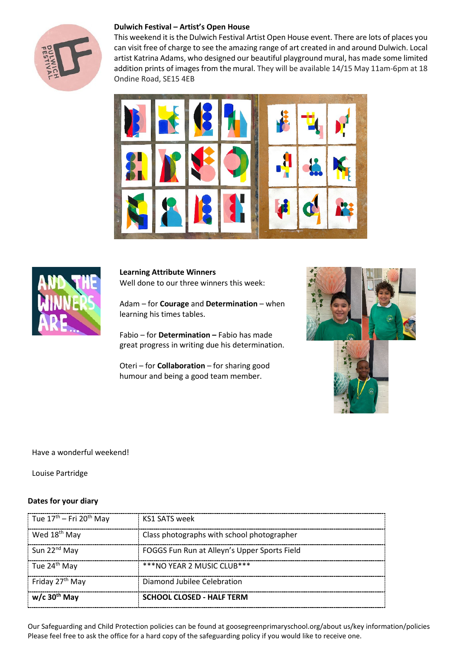

## **Dulwich Festival – Artist's Open House**

This weekend it is the Dulwich Festival Artist Open House event. There are lots of places you can visit free of charge to see the amazing range of art created in and around Dulwich. Local artist Katrina Adams, who designed our beautiful playground mural, has made some limited addition prints of images from the mural. They will be available 14/15 May 11am-6pm at 18 Ondine Road, SE15 4EB





**Learning Attribute Winners** Well done to our three winners this week:

Adam – for **Courage** and **Determination** – when learning his times tables.

Fabio – for **Determination –** Fabio has made great progress in writing due his determination.

Oteri – for **Collaboration** – for sharing good humour and being a good team member.



## Have a wonderful weekend!

Louise Partridge

## **Dates for your diary**

| Tue 17 <sup>th</sup> – Fri 20 <sup>th</sup> May | KS1 SATS week                                |
|-------------------------------------------------|----------------------------------------------|
| Wed 18 <sup>th</sup> May                        | Class photographs with school photographer   |
| Sun 22 <sup>nd</sup> May                        | FOGGS Fun Run at Alleyn's Upper Sports Field |
| Tue 24 <sup>th</sup> May                        | ***NO YEAR 2 MUSIC CLUB***                   |
| Friday 27 <sup>th</sup> May                     | Diamond Jubilee Celebration                  |
| $w/c$ 30 <sup>th</sup> May                      | <b>SCHOOL CLOSED - HALF TERM</b>             |

Our Safeguarding and Child Protection policies can be found at goosegreenprimaryschool.org/about us/key information/policies Please feel free to ask the office for a hard copy of the safeguarding policy if you would like to receive one.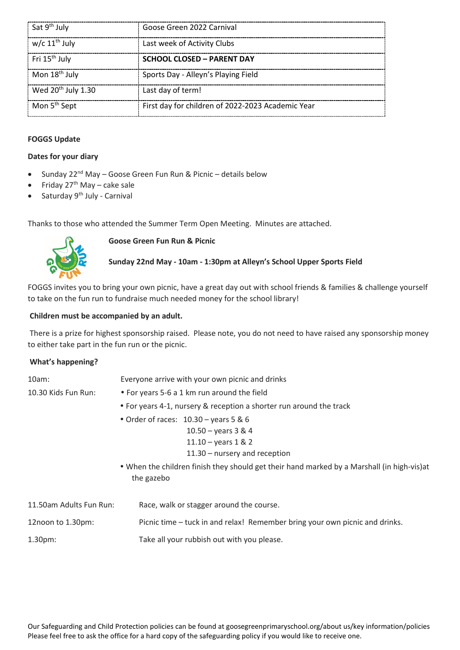| Sat 9 <sup>th</sup> July       | Goose Green 2022 Carnival                         |
|--------------------------------|---------------------------------------------------|
| w/c 11 <sup>th</sup> July      | Last week of Activity Clubs                       |
| Fri 15 <sup>th</sup> July      | <b>SCHOOL CLOSED - PARENT DAY</b>                 |
| Mon 18 <sup>th</sup> July      | Sports Day - Alleyn's Playing Field               |
| Wed 20 <sup>th</sup> July 1.30 | Last day of term!                                 |
| Mon 5 <sup>th</sup> Sept       | First day for children of 2022-2023 Academic Year |

## **FOGGS Update**

## **Dates for your diary**

- Sunday 22<sup>nd</sup> May Goose Green Fun Run & Picnic details below
- Friday  $27<sup>th</sup>$  May cake sale
- Saturday 9<sup>th</sup> July Carnival

Thanks to those who attended the Summer Term Open Meeting. Minutes are attached.



## **Goose Green Fun Run & Picnic**

# **Sunday 22nd May - 10am - 1:30pm at Alleyn's School Upper Sports Field**

FOGGS invites you to bring your own picnic, have a great day out with school friends & families & challenge yourself to take on the fun run to fundraise much needed money for the school library!

## **Children must be accompanied by an adult.**

There is a prize for highest sponsorship raised. Please note, you do not need to have raised any sponsorship money to either take part in the fun run or the picnic.

## **What's happening?**

| 10am:<br>10.30 Kids Fun Run: | Everyone arrive with your own picnic and drinks<br>• For years 5-6 a 1 km run around the field<br>• For years 4-1, nursery & reception a shorter run around the track<br>• Order of races: $10.30 - \text{years}$ 5 & 6<br>$10.50 - years$ 3 & 4<br>11.10 - years $1 & 2$<br>$11.30 -$ nursery and reception<br>. When the children finish they should get their hand marked by a Marshall (in high-vis) at |
|------------------------------|-------------------------------------------------------------------------------------------------------------------------------------------------------------------------------------------------------------------------------------------------------------------------------------------------------------------------------------------------------------------------------------------------------------|
|                              | the gazebo                                                                                                                                                                                                                                                                                                                                                                                                  |
| 11.50am Adults Fun Run:      | Race, walk or stagger around the course.                                                                                                                                                                                                                                                                                                                                                                    |
| 12noon to 1.30pm:            | Picnic time – tuck in and relax! Remember bring your own picnic and drinks.                                                                                                                                                                                                                                                                                                                                 |
| 1.30pm:                      | Take all your rubbish out with you please.                                                                                                                                                                                                                                                                                                                                                                  |